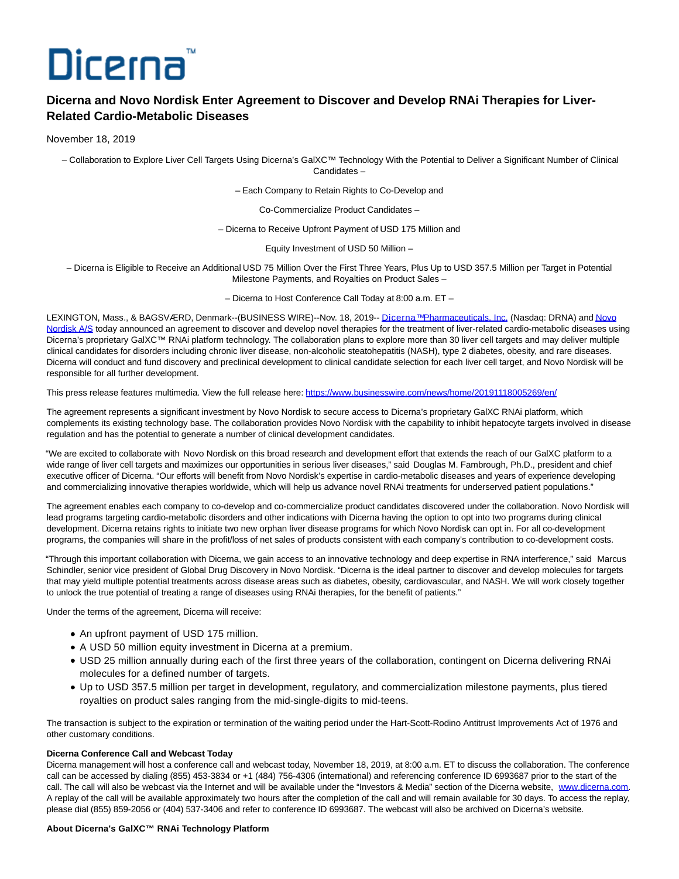# Dicerna

## **Dicerna and Novo Nordisk Enter Agreement to Discover and Develop RNAi Therapies for Liver-Related Cardio-Metabolic Diseases**

### November 18, 2019

– Collaboration to Explore Liver Cell Targets Using Dicerna's GalXC™ Technology With the Potential to Deliver a Significant Number of Clinical Candidates –

– Each Company to Retain Rights to Co-Develop and

Co-Commercialize Product Candidates –

– Dicerna to Receive Upfront Payment of USD 175 Million and

Equity Investment of USD 50 Million –

– Dicerna is Eligible to Receive an Additional USD 75 Million Over the First Three Years, Plus Up to USD 357.5 Million per Target in Potential Milestone Payments, and Royalties on Product Sales –

– Dicerna to Host Conference Call Today at 8:00 a.m. ET –

LEXINGTON, Mass., & BAGSVÆRD, Denmark--(BUSINESS WIRE)--Nov. 18, 2019-[- Dicerna™ Pharmaceuticals, Inc. \(](https://cts.businesswire.com/ct/CT?id=smartlink&url=http%3A%2F%2Fdicerna.com%2F&esheet=52130569&newsitemid=20191118005269&lan=en-US&anchor=Dicerna%26%238482%3B+Pharmaceuticals%2C+Inc.&index=1&md5=6f1138ddd49be17b68cae165b8c13451)Nasdaq: DRNA) an[d Novo](https://cts.businesswire.com/ct/CT?id=smartlink&url=https%3A%2F%2Fwww.novonordisk.com%2F&esheet=52130569&newsitemid=20191118005269&lan=en-US&anchor=Novo+Nordisk+A%2FS&index=2&md5=d7189f79f4bce8fda4e0d23dfcc1fa28) Nordisk A/S today announced an agreement to discover and develop novel therapies for the treatment of liver-related cardio-metabolic diseases using Dicerna's proprietary GalXC™ RNAi platform technology. The collaboration plans to explore more than 30 liver cell targets and may deliver multiple clinical candidates for disorders including chronic liver disease, non-alcoholic steatohepatitis (NASH), type 2 diabetes, obesity, and rare diseases. Dicerna will conduct and fund discovery and preclinical development to clinical candidate selection for each liver cell target, and Novo Nordisk will be responsible for all further development.

This press release features multimedia. View the full release here:<https://www.businesswire.com/news/home/20191118005269/en/>

The agreement represents a significant investment by Novo Nordisk to secure access to Dicerna's proprietary GalXC RNAi platform, which complements its existing technology base. The collaboration provides Novo Nordisk with the capability to inhibit hepatocyte targets involved in disease regulation and has the potential to generate a number of clinical development candidates.

"We are excited to collaborate with Novo Nordisk on this broad research and development effort that extends the reach of our GalXC platform to a wide range of liver cell targets and maximizes our opportunities in serious liver diseases," said Douglas M. Fambrough, Ph.D., president and chief executive officer of Dicerna. "Our efforts will benefit from Novo Nordisk's expertise in cardio-metabolic diseases and years of experience developing and commercializing innovative therapies worldwide, which will help us advance novel RNAi treatments for underserved patient populations."

The agreement enables each company to co-develop and co-commercialize product candidates discovered under the collaboration. Novo Nordisk will lead programs targeting cardio-metabolic disorders and other indications with Dicerna having the option to opt into two programs during clinical development. Dicerna retains rights to initiate two new orphan liver disease programs for which Novo Nordisk can opt in. For all co-development programs, the companies will share in the profit/loss of net sales of products consistent with each company's contribution to co-development costs.

"Through this important collaboration with Dicerna, we gain access to an innovative technology and deep expertise in RNA interference," said Marcus Schindler, senior vice president of Global Drug Discovery in Novo Nordisk. "Dicerna is the ideal partner to discover and develop molecules for targets that may yield multiple potential treatments across disease areas such as diabetes, obesity, cardiovascular, and NASH. We will work closely together to unlock the true potential of treating a range of diseases using RNAi therapies, for the benefit of patients."

Under the terms of the agreement, Dicerna will receive:

- An upfront payment of USD 175 million.
- A USD 50 million equity investment in Dicerna at a premium.
- USD 25 million annually during each of the first three years of the collaboration, contingent on Dicerna delivering RNAi molecules for a defined number of targets.
- Up to USD 357.5 million per target in development, regulatory, and commercialization milestone payments, plus tiered royalties on product sales ranging from the mid-single-digits to mid-teens.

The transaction is subject to the expiration or termination of the waiting period under the Hart-Scott-Rodino Antitrust Improvements Act of 1976 and other customary conditions.

#### **Dicerna Conference Call and Webcast Today**

Dicerna management will host a conference call and webcast today, November 18, 2019, at 8:00 a.m. ET to discuss the collaboration. The conference call can be accessed by dialing (855) 453-3834 or +1 (484) 756-4306 (international) and referencing conference ID 6993687 prior to the start of the call. The call will also be webcast via the Internet and will be available under the "Investors & Media" section of the Dicerna website, [www.dicerna.com.](https://cts.businesswire.com/ct/CT?id=smartlink&url=http%3A%2F%2Fwww.dicerna.com&esheet=52130569&newsitemid=20191118005269&lan=en-US&anchor=www.dicerna.com&index=3&md5=b421d235b12b5ee6b2735aaff820f220) A replay of the call will be available approximately two hours after the completion of the call and will remain available for 30 days. To access the replay, please dial (855) 859-2056 or (404) 537-3406 and refer to conference ID 6993687. The webcast will also be archived on Dicerna's website.

#### **About Dicerna's GalXC™ RNAi Technology Platform**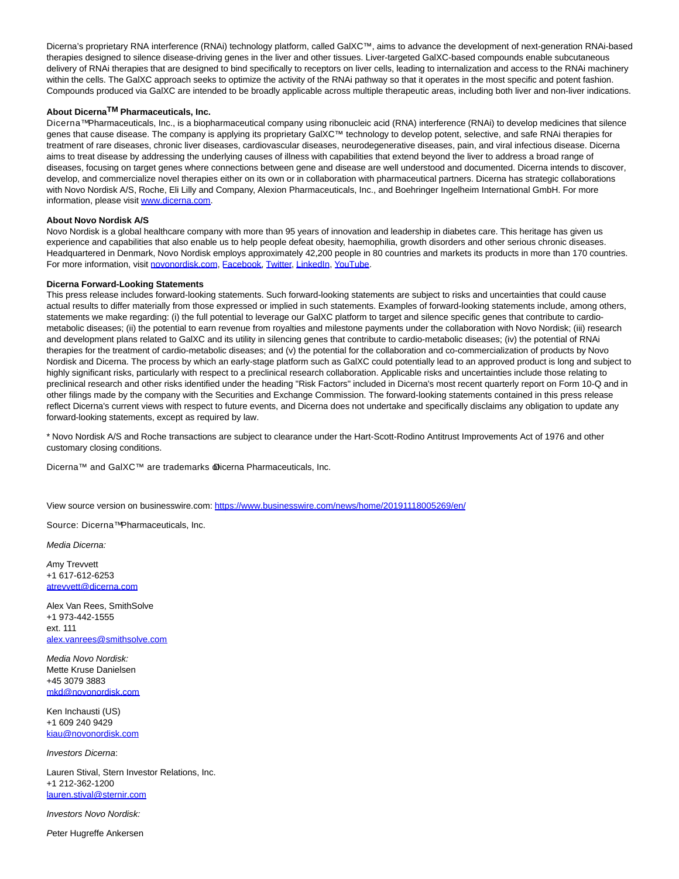Dicerna's proprietary RNA interference (RNAi) technology platform, called GalXC™, aims to advance the development of next-generation RNAi-based therapies designed to silence disease-driving genes in the liver and other tissues. Liver-targeted GalXC-based compounds enable subcutaneous delivery of RNAi therapies that are designed to bind specifically to receptors on liver cells, leading to internalization and access to the RNAi machinery within the cells. The GalXC approach seeks to optimize the activity of the RNAi pathway so that it operates in the most specific and potent fashion. Compounds produced via GalXC are intended to be broadly applicable across multiple therapeutic areas, including both liver and non-liver indications.

#### **About DicernaTM Pharmaceuticals, Inc.**

Dicerna™ Pharmaceuticals, Inc., is a biopharmaceutical company using ribonucleic acid (RNA) interference (RNAi) to develop medicines that silence genes that cause disease. The company is applying its proprietary GalXC™ technology to develop potent, selective, and safe RNAi therapies for treatment of rare diseases, chronic liver diseases, cardiovascular diseases, neurodegenerative diseases, pain, and viral infectious disease. Dicerna aims to treat disease by addressing the underlying causes of illness with capabilities that extend beyond the liver to address a broad range of diseases, focusing on target genes where connections between gene and disease are well understood and documented. Dicerna intends to discover, develop, and commercialize novel therapies either on its own or in collaboration with pharmaceutical partners. Dicerna has strategic collaborations with Novo Nordisk A/S, Roche, Eli Lilly and Company, Alexion Pharmaceuticals, Inc., and Boehringer Ingelheim International GmbH. For more information, please visi[t www.dicerna.com.](https://cts.businesswire.com/ct/CT?id=smartlink&url=http%3A%2F%2Fwww.dicerna.com&esheet=52130569&newsitemid=20191118005269&lan=en-US&anchor=www.dicerna.com&index=4&md5=47c89dd20e2b5f2ada35f9fe965766ec)

### **About Novo Nordisk A/S**

Novo Nordisk is a global healthcare company with more than 95 years of innovation and leadership in diabetes care. This heritage has given us experience and capabilities that also enable us to help people defeat obesity, haemophilia, growth disorders and other serious chronic diseases. Headquartered in Denmark, Novo Nordisk employs approximately 42,200 people in 80 countries and markets its products in more than 170 countries. For more information, visit [novonordisk.com,](https://cts.businesswire.com/ct/CT?id=smartlink&url=http%3A%2F%2Fwww.novonordisk.com&esheet=52130569&newsitemid=20191118005269&lan=en-US&anchor=novonordisk.com&index=5&md5=ee0303ce27458e23f2a5f0274a9fd473) [Facebook,](https://cts.businesswire.com/ct/CT?id=smartlink&url=https%3A%2F%2Fwww.facebook.com%2Fnovonordisk%2F&esheet=52130569&newsitemid=20191118005269&lan=en-US&anchor=Facebook&index=6&md5=ba70ba1c96a8c29a9463fe5684afc2f6) [Twitter,](https://cts.businesswire.com/ct/CT?id=smartlink&url=https%3A%2F%2Ftwitter.com%2Fnovonordisk%3Fref_src%3Dtwsrc%255Egoogle%257Ctwcamp%255Eserp%257Ctwgr%255Eauthor&esheet=52130569&newsitemid=20191118005269&lan=en-US&anchor=Twitter&index=7&md5=f91ff0645e309c46b7b978101bf478ca) [LinkedIn,](https://cts.businesswire.com/ct/CT?id=smartlink&url=https%3A%2F%2Fwww.linkedin.com%2Fcompany%2Fnovo-nordisk%2F&esheet=52130569&newsitemid=20191118005269&lan=en-US&anchor=LinkedIn&index=8&md5=f03ba1e580cdecfbaf7fdaba18e7bb68) [YouTube.](https://cts.businesswire.com/ct/CT?id=smartlink&url=https%3A%2F%2Fwww.youtube.com%2Fuser%2Fnovonordisk%2Fcustom&esheet=52130569&newsitemid=20191118005269&lan=en-US&anchor=YouTube&index=9&md5=1b73f925ed1d7903ee14fbff3f723bee)

#### **Dicerna Forward-Looking Statements**

This press release includes forward-looking statements. Such forward-looking statements are subject to risks and uncertainties that could cause actual results to differ materially from those expressed or implied in such statements. Examples of forward-looking statements include, among others, statements we make regarding: (i) the full potential to leverage our GalXC platform to target and silence specific genes that contribute to cardiometabolic diseases; (ii) the potential to earn revenue from royalties and milestone payments under the collaboration with Novo Nordisk; (iii) research and development plans related to GalXC and its utility in silencing genes that contribute to cardio-metabolic diseases; (iv) the potential of RNAi therapies for the treatment of cardio-metabolic diseases; and (v) the potential for the collaboration and co-commercialization of products by Novo Nordisk and Dicerna. The process by which an early-stage platform such as GalXC could potentially lead to an approved product is long and subject to highly significant risks, particularly with respect to a preclinical research collaboration. Applicable risks and uncertainties include those relating to preclinical research and other risks identified under the heading "Risk Factors" included in Dicerna's most recent quarterly report on Form 10-Q and in other filings made by the company with the Securities and Exchange Commission. The forward-looking statements contained in this press release reflect Dicerna's current views with respect to future events, and Dicerna does not undertake and specifically disclaims any obligation to update any forward-looking statements, except as required by law.

\* Novo Nordisk A/S and Roche transactions are subject to clearance under the Hart-Scott-Rodino Antitrust Improvements Act of 1976 and other customary closing conditions.

Dicerna™ and GalXC™ are trademarks **@icerna Pharmaceuticals, Inc.** 

View source version on businesswire.com:<https://www.businesswire.com/news/home/20191118005269/en/>

Source: Dicerna<sup>™</sup> Pharmaceuticals, Inc.

Media Dicerna:

Amy Trevvett +1 617-612-6253 [atrevvett@dicerna.com](mailto:atrevvett@dicerna.com)

Alex Van Rees, SmithSolve +1 973-442-1555 ext. 111 [alex.vanrees@smithsolve.com](mailto:alex.vanrees@smithsolve.com)

Media Novo Nordisk: Mette Kruse Danielsen +45 3079 3883 [mkd@novonordisk.com](mailto:mkd@novonordisk.com)

Ken Inchausti (US) +1 609 240 9429 [kiau@novonordisk.com](mailto:kiau@novonordisk.com)

Investors Dicerna:

Lauren Stival, Stern Investor Relations, Inc. +1 212-362-1200 [lauren.stival@sternir.com](mailto:lauren.stival@sternir.com)

Investors Novo Nordisk:

Peter Hugreffe Ankersen